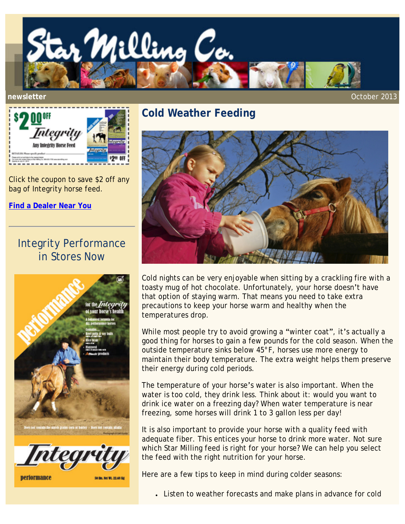



Click the coupon to save \$2 off any bag of Integrity horse feed.

**[Find a Dealer Near You](http://www.starmilling.com/dealer.php)**

## Integrity Performance in Stores Now



## **Cold Weather Feeding**



Cold nights can be very enjoyable when sitting by a crackling fire with a toasty mug of hot chocolate. Unfortunately, your horse doesn't have that option of staying warm. That means you need to take extra precautions to keep your horse warm and healthy when the temperatures drop.

While most people try to avoid growing a "winter coat", it's actually a good thing for horses to gain a few pounds for the cold season. When the outside temperature sinks below 45°F, horses use more energy to maintain their body temperature. The extra weight helps them preserve their energy during cold periods.

The temperature of your horse's water is also important. When the water is too cold, they drink less. Think about it: would you want to drink ice water on a freezing day? When water temperature is near freezing, some horses will drink 1 to 3 gallon less per day!

It is also important to provide your horse with a quality feed with adequate fiber. This entices your horse to drink more water. Not sure which Star Milling feed is right for your horse? We can help you select the feed with the right nutrition for your horse.

Here are a few tips to keep in mind during colder seasons:

• Listen to weather forecasts and make plans in advance for cold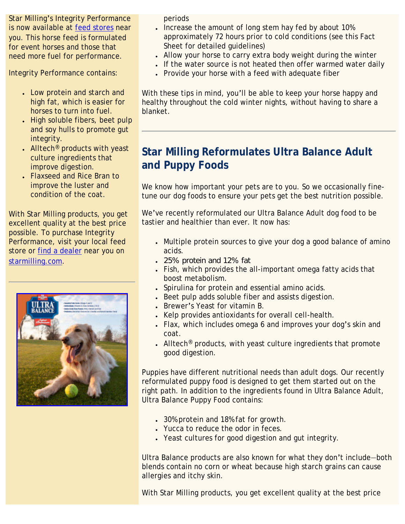Star Milling's Integrity Performance is now available at [feed stores](http://starmilling.com/dealer.php) near you. This horse feed is formulated for event horses and those that need more fuel for performance.

Integrity Performance contains:

- Low protein and starch and high fat, which is easier for horses to turn into fuel.
- High soluble fibers, beet pulp and soy hulls to promote gut integrity.
- Alltech<sup>®</sup> products with yeast culture ingredients that improve digestion.
- Flaxseed and Rice Bran to improve the luster and condition of the coat.

With Star Milling products, you get excellent quality at the best price possible. To purchase Integrity Performance, visit your local feed store or [find a dealer](http://starmilling.com/dealer.php) near you on [starmilling.com](http://www.starmilling.com/).



periods

- Increase the amount of long stem hay fed by about 10% approximately 72 hours prior to cold conditions (see this Fact Sheet for detailed guidelines)
- Allow your horse to carry extra body weight during the winter
- If the water source is not heated then offer warmed water daily
- Provide your horse with a feed with adequate fiber

With these tips in mind, you'll be able to keep your horse happy and healthy throughout the cold winter nights, without having to share a blanket.

## **Star Milling Reformulates Ultra Balance Adult and Puppy Foods**

We know how important your pets are to you. So we occasionally finetune our dog foods to ensure your pets get the best nutrition possible.

We've recently reformulated our Ultra Balance Adult dog food to be tastier and healthier than ever. It now has:

- Multiple protein sources to give your dog a good balance of amino acids.
- 25% protein and 12% fat
- Fish, which provides the all-important omega fatty acids that boost metabolism.
- Spirulina for protein and essential amino acids.
- Beet pulp adds soluble fiber and assists digestion.
- Brewer's Yeast for vitamin B.
- Kelp provides antioxidants for overall cell-health.
- Flax, which includes omega 6 and improves your dog's skin and coat.
- Alltech<sup>®</sup> products, with yeast culture ingredients that promote good digestion.

Puppies have different nutritional needs than adult dogs. Our recently reformulated puppy food is designed to get them started out on the right path. In addition to the ingredients found in Ultra Balance Adult, Ultra Balance Puppy Food contains:

- 30% protein and 18% fat for growth.
- Yucca to reduce the odor in feces.
- Yeast cultures for good digestion and gut integrity.

Ultra Balance products are also known for what they don't include—both blends contain no corn or wheat because high starch grains can cause allergies and itchy skin.

With Star Milling products, you get excellent quality at the best price